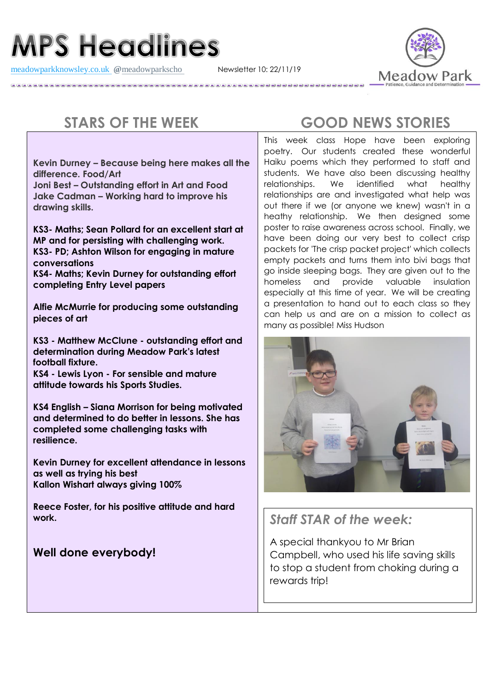## **MPS Headlines**

[meadowparkknowsley.co.uk](https://t.co/znDDto23ds) **@**[meadowparkscho](https://twitter.com/meadowparkscho) Newsletter 10: 22/11/19



**Kevin Durney – Because being here makes all the difference. Food/Art**

**Joni Best – Outstanding effort in Art and Food Jake Cadman – Working hard to improve his drawing skills.**

**KS3- Maths; Sean Pollard for an excellent start at MP and for persisting with challenging work. KS3- PD; Ashton Wilson for engaging in mature conversations KS4- Maths; Kevin Durney for outstanding effort completing Entry Level papers**

**Alfie McMurrie for producing some outstanding pieces of art**

**KS3 - Matthew McClune - outstanding effort and determination during Meadow Park's latest football fixture.**

**KS4 - Lewis Lyon - For sensible and mature attitude towards his Sports Studies.**

**KS4 English – Siana Morrison for being motivated and determined to do better in lessons. She has completed some challenging tasks with resilience.**

**Kevin Durney for excellent attendance in lessons as well as trying his best Kallon Wishart always giving 100%**

**Reece Foster, for his positive attitude and hard work.**

**Well done everybody!**

## **STARS OF THE WEEK GOOD NEWS STORIES**

This week class Hope have been exploring poetry. Our students created these wonderful Haiku poems which they performed to staff and students. We have also been discussing healthy relationships. We identified what healthy relationships are and investigated what help was out there if we (or anyone we knew) wasn't in a heathy relationship. We then designed some poster to raise awareness across school. Finally, we have been doing our very best to collect crisp packets for 'The crisp packet project' which collects empty packets and turns them into bivi bags that go inside sleeping bags. They are given out to the homeless and provide valuable insulation especially at this time of year. We will be creating a presentation to hand out to each class so they can help us and are on a mission to collect as many as possible! Miss Hudson



*Staff STAR of the week:*

A special thankyou to Mr Brian Campbell, who used his life saving skills to stop a student from choking during a rewards trip!